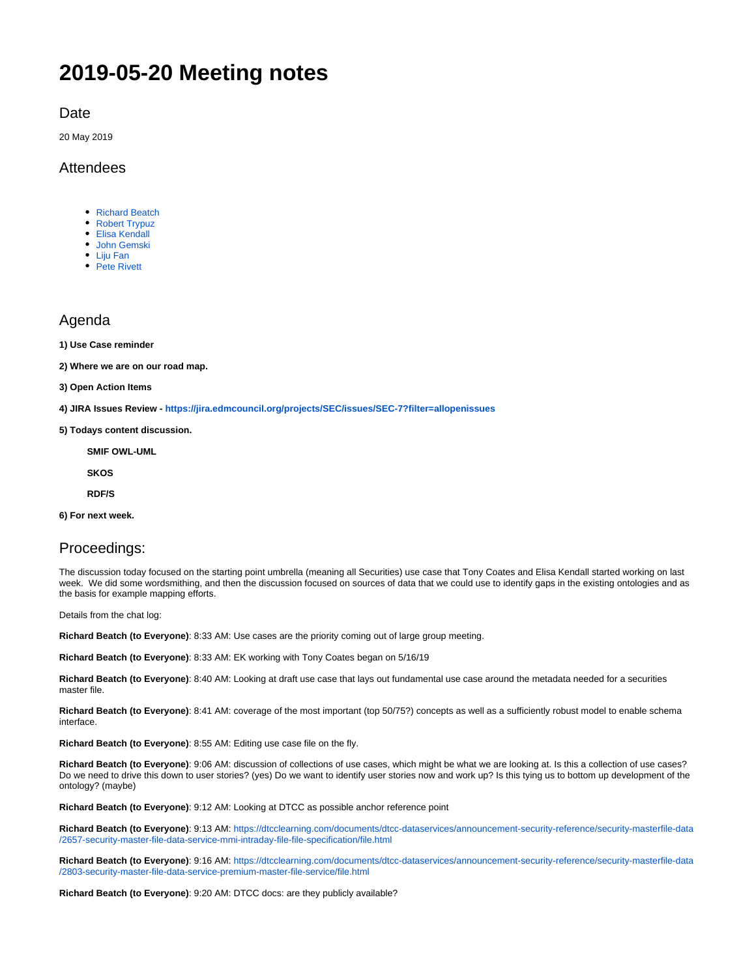# **2019-05-20 Meeting notes**

**Date** 

20 May 2019

### Attendees

- [Richard Beatch](https://wiki.edmcouncil.org/display/~rbeatch)
- [Robert Trypuz](https://wiki.edmcouncil.org/display/~trypuz1)
- [Elisa Kendall](https://wiki.edmcouncil.org/display/~ElisaKendall) [John Gemski](https://wiki.edmcouncil.org/display/~jgemski)
- [Liju Fan](https://wiki.edmcouncil.org/display/~lijufan)
- [Pete Rivett](https://wiki.edmcouncil.org/display/~rivettp)

## Agenda

**1) Use Case reminder**

**2) Where we are on our road map.** 

**3) Open Action Items**

**4) JIRA Issues Review - <https://jira.edmcouncil.org/projects/SEC/issues/SEC-7?filter=allopenissues>**

**5) Todays content discussion.**

**SMIF OWL-UML**

**SKOS**

**RDF/S**

**6) For next week.**

### Proceedings:

The discussion today focused on the starting point umbrella (meaning all Securities) use case that Tony Coates and Elisa Kendall started working on last week. We did some wordsmithing, and then the discussion focused on sources of data that we could use to identify gaps in the existing ontologies and as the basis for example mapping efforts.

Details from the chat log:

**Richard Beatch (to Everyone)**: 8:33 AM: Use cases are the priority coming out of large group meeting.

**Richard Beatch (to Everyone)**: 8:33 AM: EK working with Tony Coates began on 5/16/19

**Richard Beatch (to Everyone)**: 8:40 AM: Looking at draft use case that lays out fundamental use case around the metadata needed for a securities master file.

**Richard Beatch (to Everyone)**: 8:41 AM: coverage of the most important (top 50/75?) concepts as well as a sufficiently robust model to enable schema interface.

**Richard Beatch (to Everyone)**: 8:55 AM: Editing use case file on the fly.

**Richard Beatch (to Everyone)**: 9:06 AM: discussion of collections of use cases, which might be what we are looking at. Is this a collection of use cases? Do we need to drive this down to user stories? (yes) Do we want to identify user stories now and work up? Is this tying us to bottom up development of the ontology? (maybe)

**Richard Beatch (to Everyone)**: 9:12 AM: Looking at DTCC as possible anchor reference point

**Richard Beatch (to Everyone)**: 9:13 AM: [https://dtcclearning.com/documents/dtcc-dataservices/announcement-security-reference/security-masterfile-data](https://dtcclearning.com/documents/dtcc-dataservices/announcement-security-reference/security-masterfile-data/2657-security-master-file-data-service-mmi-intraday-file-file-specification/file.html) [/2657-security-master-file-data-service-mmi-intraday-file-file-specification/file.html](https://dtcclearning.com/documents/dtcc-dataservices/announcement-security-reference/security-masterfile-data/2657-security-master-file-data-service-mmi-intraday-file-file-specification/file.html)

**Richard Beatch (to Everyone)**: 9:16 AM: [https://dtcclearning.com/documents/dtcc-dataservices/announcement-security-reference/security-masterfile-data](https://dtcclearning.com/documents/dtcc-dataservices/announcement-security-reference/security-masterfile-data/2803-security-master-file-data-service-premium-master-file-service/file.html) [/2803-security-master-file-data-service-premium-master-file-service/file.html](https://dtcclearning.com/documents/dtcc-dataservices/announcement-security-reference/security-masterfile-data/2803-security-master-file-data-service-premium-master-file-service/file.html)

**Richard Beatch (to Everyone)**: 9:20 AM: DTCC docs: are they publicly available?